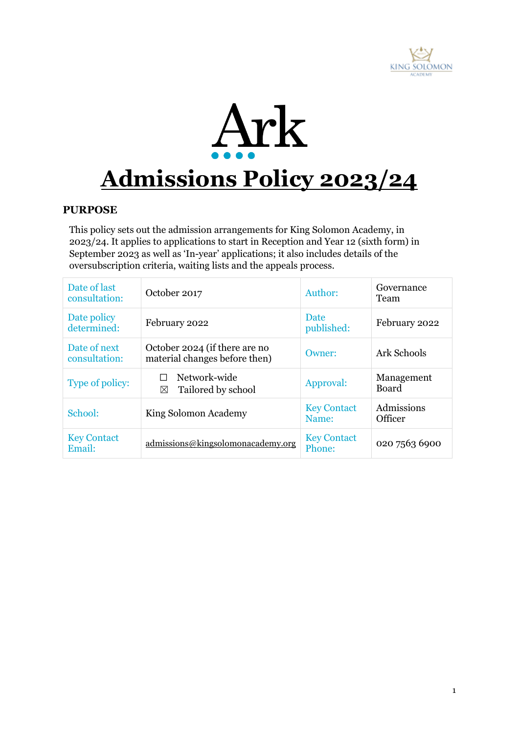



## **PURPOSE**

This policy sets out the admission arrangements for King Solomon Academy, in 2023/24. It applies to applications to start in Reception and Year 12 (sixth form) in September 2023 as well as 'In-year' applications; it also includes details of the oversubscription criteria, waiting lists and the appeals process.

| Date of last<br>consultation: | October 2017                                                   | Author:                      | Governance<br>Team    |
|-------------------------------|----------------------------------------------------------------|------------------------------|-----------------------|
| Date policy<br>determined:    | February 2022                                                  | <b>Date</b><br>published:    | February 2022         |
| Date of next<br>consultation: | October 2024 (if there are no<br>material changes before then) | Owner:                       | Ark Schools           |
| Type of policy:               | Network-wide<br>Tailored by school<br>⊠                        | Approval:                    | Management<br>Board   |
| School:                       | King Solomon Academy                                           | <b>Key Contact</b><br>Name:  | Admissions<br>Officer |
| <b>Key Contact</b><br>Email:  | admissions@kingsolomonacademy.org                              | <b>Key Contact</b><br>Phone: | 020 7563 6900         |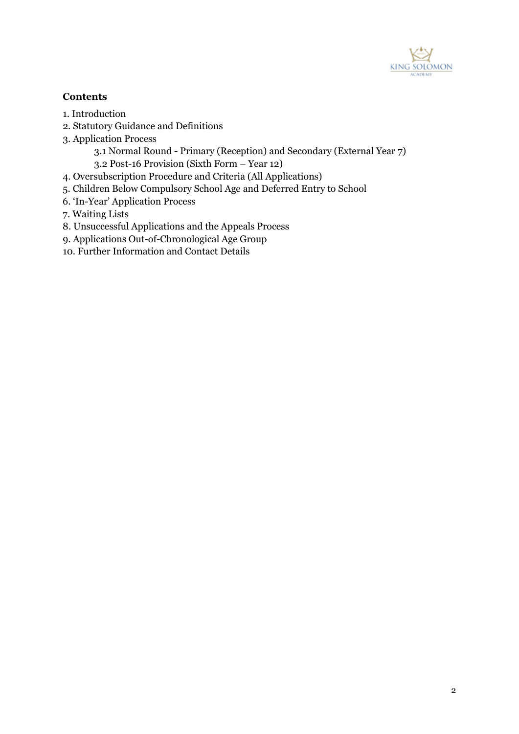

# **Contents**

- 1. Introduction
- 2. Statutory Guidance and Definitions
- 3. Application Process
	- 3.1 Normal Round Primary (Reception) and Secondary (External Year 7)
	- 3.2 Post-16 Provision (Sixth Form Year 12)
- 4. Oversubscription Procedure and Criteria (All Applications)
- 5. Children Below Compulsory School Age and Deferred Entry to School
- 6. 'In-Year' Application Process
- 7. Waiting Lists
- 8. Unsuccessful Applications and the Appeals Process
- 9. Applications Out-of-Chronological Age Group
- 10. Further Information and Contact Details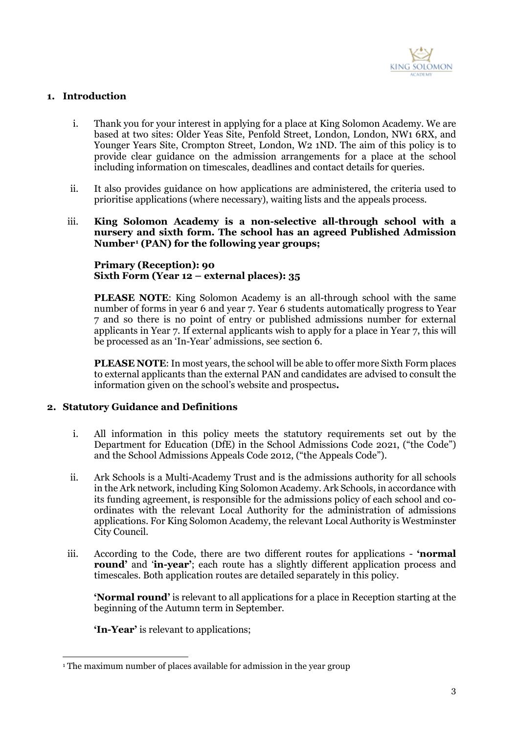

## **1. Introduction**

- i. Thank you for your interest in applying for a place at King Solomon Academy. We are based at two sites: Older Yeas Site, Penfold Street, London, London, NW1 6RX, and Younger Years Site, Crompton Street, London, W2 1ND. The aim of this policy is to provide clear guidance on the admission arrangements for a place at the school including information on timescales, deadlines and contact details for queries.
- ii. It also provides guidance on how applications are administered, the criteria used to prioritise applications (where necessary), waiting lists and the appeals process.
- iii. **King Solomon Academy is a non-selective all-through school with a nursery and sixth form. The school has an agreed Published Admission Number[1](#page-2-0) (PAN) for the following year groups;**

### **Primary (Reception): 90 Sixth Form (Year 12 – external places): 35**

**PLEASE NOTE**: King Solomon Academy is an all-through school with the same number of forms in year 6 and year 7. Year 6 students automatically progress to Year 7 and so there is no point of entry or published admissions number for external applicants in Year 7. If external applicants wish to apply for a place in Year 7, this will be processed as an 'In-Year' admissions, see section 6.

**PLEASE NOTE**: In most years, the school will be able to offer more Sixth Form places to external applicants than the external PAN and candidates are advised to consult the information given on the school's website and prospectus**.**

### **2. Statutory Guidance and Definitions**

- i. All information in this policy meets the statutory requirements set out by the Department for Education (DfE) in the School Admissions Code 2021, ("the Code") and the School Admissions Appeals Code 2012, ("the Appeals Code").
- ii. Ark Schools is a Multi-Academy Trust and is the admissions authority for all schools in the Ark network, including King Solomon Academy. Ark Schools, in accordance with its funding agreement, is responsible for the admissions policy of each school and coordinates with the relevant Local Authority for the administration of admissions applications. For King Solomon Academy, the relevant Local Authority is Westminster City Council.
- iii. According to the Code, there are two different routes for applications **'normal round'** and '**in-year'**; each route has a slightly different application process and timescales. Both application routes are detailed separately in this policy.

**'Normal round'** is relevant to all applications for a place in Reception starting at the beginning of the Autumn term in September.

**'In-Year'** is relevant to applications;

<span id="page-2-0"></span><sup>&</sup>lt;sup>1</sup> The maximum number of places available for admission in the year group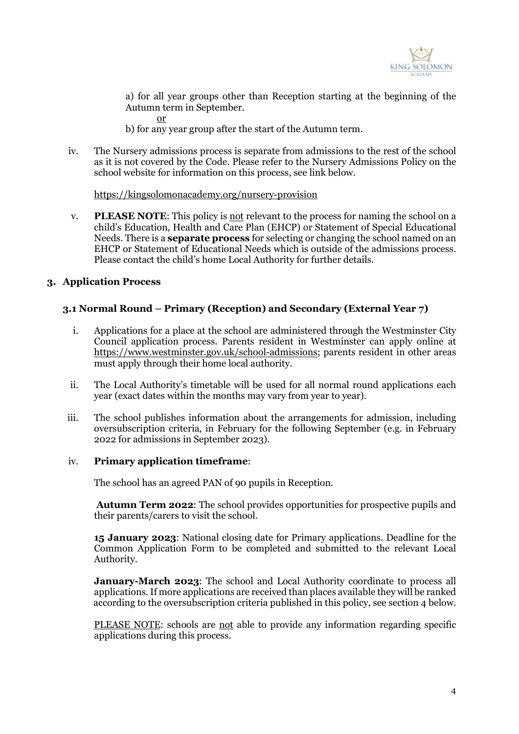

a) for all year groups other than Reception starting at the beginning of the Autumn term in September.

or

b) for any year group after the start of the Autumn term.

iv. The Nursery admissions process is separate from admissions to the rest of the school as it is not covered by the Code. Please refer to the Nursery Admissions Policy on the school website for information on this process, see link below.

#### <https://kingsolomonacademy.org/nursery-provision>

v. **PLEASE NOTE**: This policy is not relevant to the process for naming the school on a child's Education, Health and Care Plan (EHCP) or Statement of Special Educational Needs. There is a **separate process** for selecting or changing the school named on an EHCP or Statement of Educational Needs which is outside of the admissions process. Please contact the child's home Local Authority for further details.

## **3. Application Process**

## **3.1 Normal Round – Primary (Reception) and Secondary (External Year 7)**

- i. Applications for a place at the school are administered through the Westminster City Council application process. Parents resident in Westminster can apply online at [https://www.westminster.gov.uk/school-admissions;](https://www.westminster.gov.uk/school-admissions) parents resident in other areas must apply through their home local authority.
- ii. The Local Authority's timetable will be used for all normal round applications each year (exact dates within the months may vary from year to year).
- iii. The school publishes information about the arrangements for admission, including oversubscription criteria, in February for the following September (e.g. in February 2022 for admissions in September 2023).

### iv. **Primary application timeframe**:

The school has an agreed PAN of 90 pupils in Reception.

**Autumn Term 2022**: The school provides opportunities for prospective pupils and their parents/carers to visit the school.

**15 January 2023**: National closing date for Primary applications. Deadline for the Common Application Form to be completed and submitted to the relevant Local Authority.

**January-March 2023**: The school and Local Authority coordinate to process all applications.If more applications are received than places available they will be ranked according to the oversubscription criteria published in this policy, see section 4 below.

PLEASE NOTE: schools are not able to provide any information regarding specific applications during this process.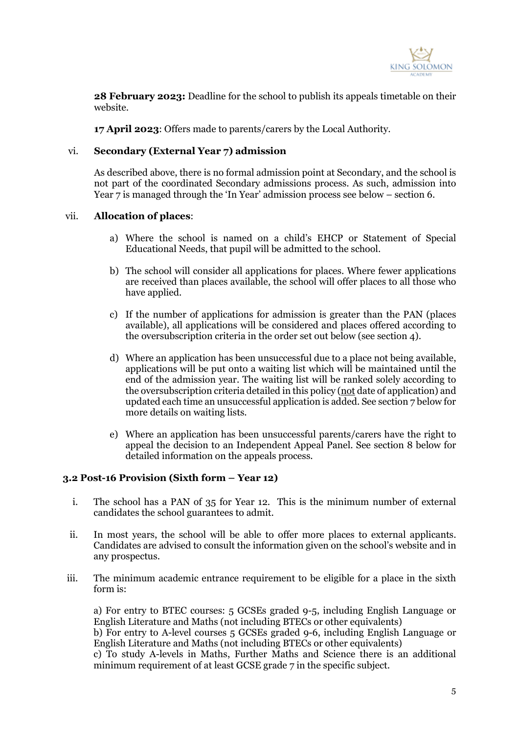

**28 February 2023:** Deadline for the school to publish its appeals timetable on their website.

**17 April 2023**: Offers made to parents/carers by the Local Authority.

#### vi. **Secondary (External Year 7) admission**

As described above, there is no formal admission point at Secondary, and the school is not part of the coordinated Secondary admissions process. As such, admission into Year 7 is managed through the 'In Year' admission process see below – section 6.

#### vii. **Allocation of places**:

- a) Where the school is named on a child's EHCP or Statement of Special Educational Needs, that pupil will be admitted to the school.
- b) The school will consider all applications for places. Where fewer applications are received than places available, the school will offer places to all those who have applied.
- c) If the number of applications for admission is greater than the PAN (places available), all applications will be considered and places offered according to the oversubscription criteria in the order set out below (see section 4).
- d) Where an application has been unsuccessful due to a place not being available, applications will be put onto a waiting list which will be maintained until the end of the admission year. The waiting list will be ranked solely according to the oversubscription criteria detailed in this policy (not date of application) and updated each time an unsuccessful application is added. See section 7 below for more details on waiting lists.
- e) Where an application has been unsuccessful parents/carers have the right to appeal the decision to an Independent Appeal Panel. See section 8 below for detailed information on the appeals process.

### **3.2 Post-16 Provision (Sixth form – Year 12)**

- i. The school has a PAN of 35 for Year 12. This is the minimum number of external candidates the school guarantees to admit.
- ii. In most years, the school will be able to offer more places to external applicants. Candidates are advised to consult the information given on the school's website and in any prospectus.
- iii. The minimum academic entrance requirement to be eligible for a place in the sixth form is:

a) For entry to BTEC courses: 5 GCSEs graded 9-5, including English Language or English Literature and Maths (not including BTECs or other equivalents)

b) For entry to A-level courses 5 GCSEs graded 9-6, including English Language or English Literature and Maths (not including BTECs or other equivalents)

c) To study A-levels in Maths, Further Maths and Science there is an additional minimum requirement of at least GCSE grade 7 in the specific subject.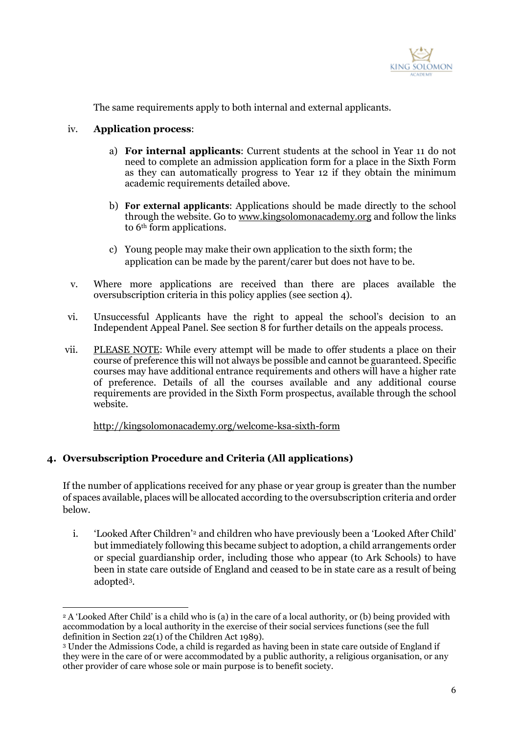

The same requirements apply to both internal and external applicants.

## iv. **Application process**:

- a) **For internal applicants**: Current students at the school in Year 11 do not need to complete an admission application form for a place in the Sixth Form as they can automatically progress to Year 12 if they obtain the minimum academic requirements detailed above.
- b) **For external applicants**: Applications should be made directly to the school through the website. Go to [www.kingsolomonacademy.org](http://www.kingsolomonacademy.org/) and follow the links to 6th form applications.
- c) Young people may make their own application to the sixth form; the application can be made by the parent/carer but does not have to be.
- v. Where more applications are received than there are places available the oversubscription criteria in this policy applies (see section 4).
- vi. Unsuccessful Applicants have the right to appeal the school's decision to an Independent Appeal Panel. See section 8 for further details on the appeals process.
- vii. PLEASE NOTE: While every attempt will be made to offer students a place on their course of preference this will not always be possible and cannot be guaranteed. Specific courses may have additional entrance requirements and others will have a higher rate of preference. Details of all the courses available and any additional course requirements are provided in the Sixth Form prospectus, available through the school website.

<http://kingsolomonacademy.org/welcome-ksa-sixth-form>

# **4. Oversubscription Procedure and Criteria (All applications)**

If the number of applications received for any phase or year group is greater than the number of spaces available, places will be allocated according to the oversubscription criteria and order below.

i. 'Looked After Children'[2](#page-5-0) and children who have previously been a 'Looked After Child' but immediately following this became subject to adoption, a child arrangements order or special guardianship order, including those who appear (to Ark Schools) to have been in state care outside of England and ceased to be in state care as a result of being adopted[3.](#page-5-1)

<span id="page-5-0"></span><sup>2</sup> A 'Looked After Child' is a child who is (a) in the care of a local authority, or (b) being provided with accommodation by a local authority in the exercise of their social services functions (see the full definition in Section 22(1) of the Children Act 1989).

<span id="page-5-1"></span><sup>3</sup> Under the Admissions Code, a child is regarded as having been in state care outside of England if they were in the care of or were accommodated by a public authority, a religious organisation, or any other provider of care whose sole or main purpose is to benefit society.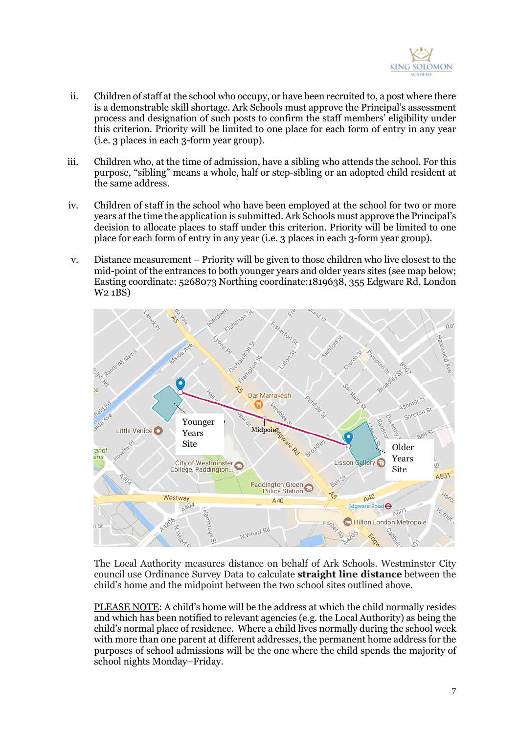

- ii. Children of staff at the school who occupy, or have been recruited to, a post where there is a demonstrable skill shortage. Ark Schools must approve the Principal's assessment process and designation of such posts to confirm the staff members' eligibility under this criterion. Priority will be limited to one place for each form of entry in any year (i.e. 3 places in each 3-form year group).
- iii. Children who, at the time of admission, have a sibling who attends the school. For this purpose, "sibling" means a whole, half or step-sibling or an adopted child resident at the same address.
- iv. Children of staff in the school who have been employed at the school for two or more years at the time the application is submitted. Ark Schools must approve the Principal's decision to allocate places to staff under this criterion. Priority will be limited to one place for each form of entry in any year (i.e. 3 places in each 3-form year group).
- v. Distance measurement Priority will be given to those children who live closest to the mid-point of the entrances to both younger years and older years sites (see map below; Easting coordinate: 5268073 Northing coordinate:1819638, 355 Edgware Rd, London W2 1BS)



The Local Authority measures distance on behalf of Ark Schools. Westminster City council use Ordinance Survey Data to calculate **straight line distance** between the child's home and the midpoint between the two school sites outlined above.

PLEASE NOTE: A child's home will be the address at which the child normally resides and which has been notified to relevant agencies (e.g. the Local Authority) as being the child's normal place of residence. Where a child lives normally during the school week with more than one parent at different addresses, the permanent home address for the purposes of school admissions will be the one where the child spends the majority of school nights Monday–Friday.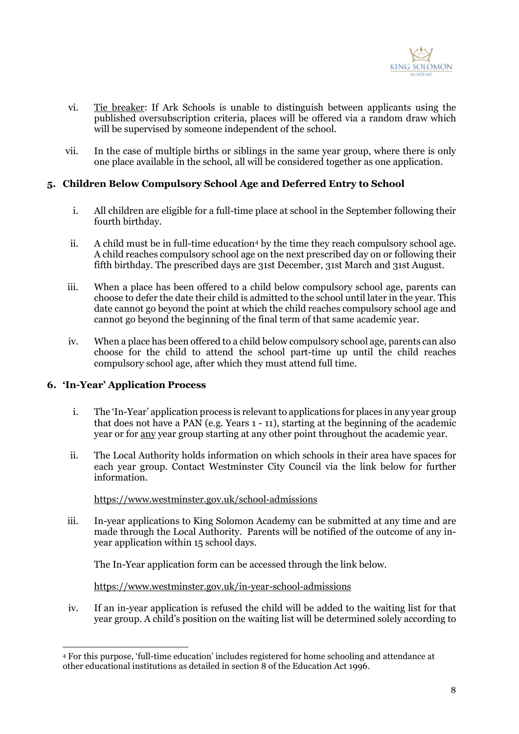

- vi. Tie breaker: If Ark Schools is unable to distinguish between applicants using the published oversubscription criteria, places will be offered via a random draw which will be supervised by someone independent of the school.
- vii. In the case of multiple births or siblings in the same year group, where there is only one place available in the school, all will be considered together as one application.

## **5. Children Below Compulsory School Age and Deferred Entry to School**

- i. All children are eligible for a full-time place at school in the September following their fourth birthday.
- ii. A child must be in full-time education[4](#page-7-0) by the time they reach compulsory school age. A child reaches compulsory school age on the next prescribed day on or following their fifth birthday. The prescribed days are 31st December, 31st March and 31st August.
- iii. When a place has been offered to a child below compulsory school age, parents can choose to defer the date their child is admitted to the school until later in the year. This date cannot go beyond the point at which the child reaches compulsory school age and cannot go beyond the beginning of the final term of that same academic year.
- iv. When a place has been offered to a child below compulsory school age, parents can also choose for the child to attend the school part-time up until the child reaches compulsory school age, after which they must attend full time.

### **6. 'In-Year' Application Process**

- i. The 'In-Year' application process is relevant to applications for places in any year group that does not have a PAN (e.g. Years 1 - 11), starting at the beginning of the academic year or for any year group starting at any other point throughout the academic year.
- ii. The Local Authority holds information on which schools in their area have spaces for each year group. Contact Westminster City Council via the link below for further information.

### <https://www.westminster.gov.uk/school-admissions>

iii. In-year applications to King Solomon Academy can be submitted at any time and are made through the Local Authority. Parents will be notified of the outcome of any inyear application within 15 school days.

The In-Year application form can be accessed through the link below.

### <https://www.westminster.gov.uk/in-year-school-admissions>

iv. If an in-year application is refused the child will be added to the waiting list for that year group. A child's position on the waiting list will be determined solely according to

<span id="page-7-0"></span><sup>4</sup> For this purpose, 'full-time education' includes registered for home schooling and attendance at other educational institutions as detailed in section 8 of the Education Act 1996.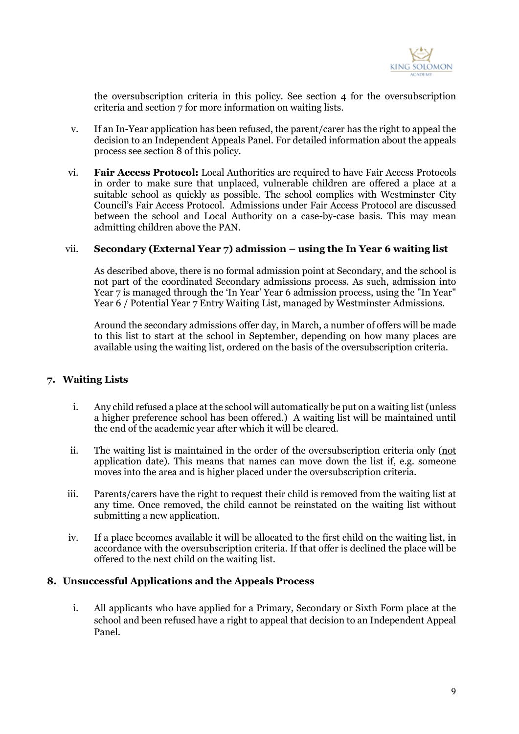

the oversubscription criteria in this policy. See section 4 for the oversubscription criteria and section 7 for more information on waiting lists.

- v. If an In-Year application has been refused, the parent/carer has the right to appeal the decision to an Independent Appeals Panel. For detailed information about the appeals process see section 8 of this policy.
- vi. **Fair Access Protocol:** Local Authorities are required to have Fair Access Protocols in order to make sure that unplaced, vulnerable children are offered a place at a suitable school as quickly as possible. The school complies with Westminster City Council's Fair Access Protocol. Admissions under Fair Access Protocol are discussed between the school and Local Authority on a case-by-case basis. This may mean admitting children above the PAN.

#### vii. **Secondary (External Year 7) admission – using the In Year 6 waiting list**

As described above, there is no formal admission point at Secondary, and the school is not part of the coordinated Secondary admissions process. As such, admission into Year 7 is managed through the 'In Year' Year 6 admission process, using the "In Year" Year 6 / Potential Year 7 Entry Waiting List, managed by Westminster Admissions.

Around the secondary admissions offer day, in March, a number of offers will be made to this list to start at the school in September, depending on how many places are available using the waiting list, ordered on the basis of the oversubscription criteria.

### **7. Waiting Lists**

- i. Any child refused a place at the school will automatically be put on a waiting list (unless a higher preference school has been offered.) A waiting list will be maintained until the end of the academic year after which it will be cleared.
- ii. The waiting list is maintained in the order of the oversubscription criteria only (not application date). This means that names can move down the list if, e.g. someone moves into the area and is higher placed under the oversubscription criteria.
- iii. Parents/carers have the right to request their child is removed from the waiting list at any time. Once removed, the child cannot be reinstated on the waiting list without submitting a new application.
- iv. If a place becomes available it will be allocated to the first child on the waiting list, in accordance with the oversubscription criteria. If that offer is declined the place will be offered to the next child on the waiting list.

#### **8. Unsuccessful Applications and the Appeals Process**

i. All applicants who have applied for a Primary, Secondary or Sixth Form place at the school and been refused have a right to appeal that decision to an Independent Appeal Panel.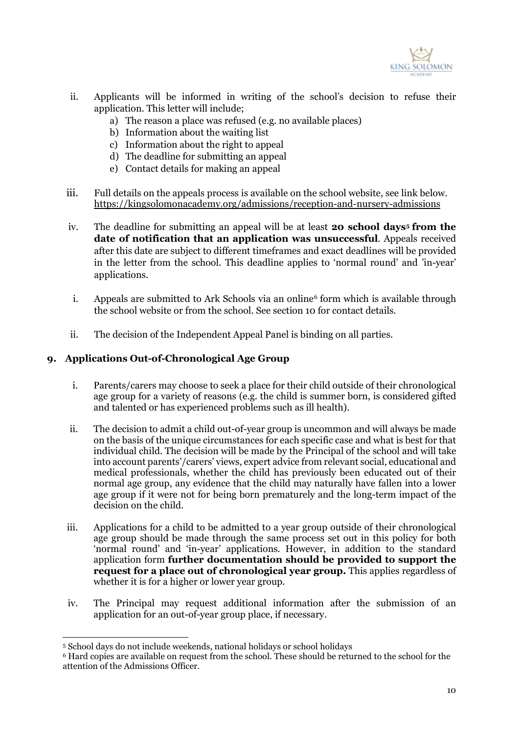

- ii. Applicants will be informed in writing of the school's decision to refuse their application. This letter will include;
	- a) The reason a place was refused (e.g. no available places)
	- b) Information about the waiting list
	- c) Information about the right to appeal
	- d) The deadline for submitting an appeal
	- e) Contact details for making an appeal
- iii. Full details on the appeals process is available on the school website, see link below. <https://kingsolomonacademy.org/admissions/reception-and-nursery-admissions>
- iv. The deadline for submitting an appeal will be at least **20 school days[5](#page-9-0) from the date of notification that an application was unsuccessful**. Appeals received after this date are subject to different timeframes and exact deadlines will be provided in the letter from the school. This deadline applies to 'normal round' and 'in-year' applications.
- i. Appeals are submitted to Ark Schools via an online<sup>[6](#page-9-1)</sup> form which is available through the school website or from the school. See section 10 for contact details.
- ii. The decision of the Independent Appeal Panel is binding on all parties.

### **9. Applications Out-of-Chronological Age Group**

- i. Parents/carers may choose to seek a place for their child outside of their chronological age group for a variety of reasons (e.g. the child is summer born, is considered gifted and talented or has experienced problems such as ill health).
- ii. The decision to admit a child out-of-year group is uncommon and will always be made on the basis of the unique circumstances for each specific case and what is best for that individual child. The decision will be made by the Principal of the school and will take into account parents'/carers' views, expert advice from relevant social, educational and medical professionals, whether the child has previously been educated out of their normal age group, any evidence that the child may naturally have fallen into a lower age group if it were not for being born prematurely and the long-term impact of the decision on the child.
- iii. Applications for a child to be admitted to a year group outside of their chronological age group should be made through the same process set out in this policy for both 'normal round' and 'in-year' applications. However, in addition to the standard application form **further documentation should be provided to support the request for a place out of chronological year group.** This applies regardless of whether it is for a higher or lower year group.
- iv. The Principal may request additional information after the submission of an application for an out-of-year group place, if necessary.

<span id="page-9-0"></span><sup>5</sup> School days do not include weekends, national holidays or school holidays

<span id="page-9-1"></span><sup>6</sup> Hard copies are available on request from the school. These should be returned to the school for the attention of the Admissions Officer.